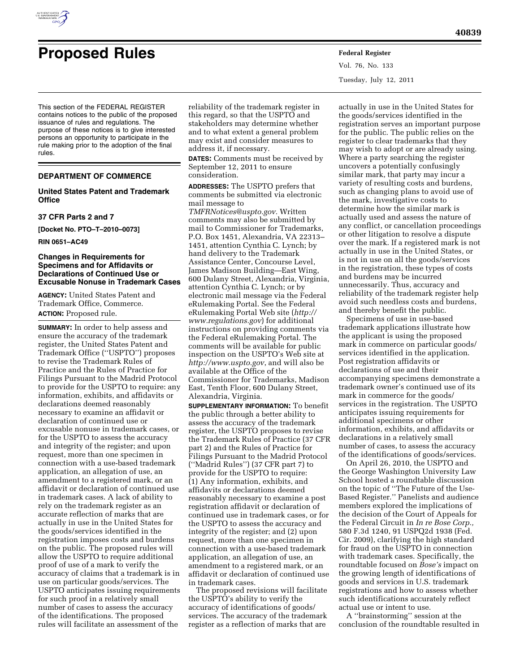

Vol. 76, No. 133 Tuesday, July 12, 2011

This section of the FEDERAL REGISTER contains notices to the public of the proposed issuance of rules and regulations. The purpose of these notices is to give interested persons an opportunity to participate in the rule making prior to the adoption of the final rules.

# **DEPARTMENT OF COMMERCE**

# **United States Patent and Trademark Office**

#### **37 CFR Parts 2 and 7**

**[Docket No. PTO–T–2010–0073]** 

**RIN 0651–AC49** 

# **Changes in Requirements for Specimens and for Affidavits or Declarations of Continued Use or Excusable Nonuse in Trademark Cases**

**AGENCY:** United States Patent and Trademark Office, Commerce. **ACTION:** Proposed rule.

**SUMMARY:** In order to help assess and ensure the accuracy of the trademark register, the United States Patent and Trademark Office (''USPTO'') proposes to revise the Trademark Rules of Practice and the Rules of Practice for Filings Pursuant to the Madrid Protocol to provide for the USPTO to require: any information, exhibits, and affidavits or declarations deemed reasonably necessary to examine an affidavit or declaration of continued use or excusable nonuse in trademark cases, or for the USPTO to assess the accuracy and integrity of the register; and upon request, more than one specimen in connection with a use-based trademark application, an allegation of use, an amendment to a registered mark, or an affidavit or declaration of continued use in trademark cases. A lack of ability to rely on the trademark register as an accurate reflection of marks that are actually in use in the United States for the goods/services identified in the registration imposes costs and burdens on the public. The proposed rules will allow the USPTO to require additional proof of use of a mark to verify the accuracy of claims that a trademark is in use on particular goods/services. The USPTO anticipates issuing requirements for such proof in a relatively small number of cases to assess the accuracy of the identifications. The proposed rules will facilitate an assessment of the

reliability of the trademark register in this regard, so that the USPTO and stakeholders may determine whether and to what extent a general problem may exist and consider measures to address it, if necessary.

**DATES:** Comments must be received by September 12, 2011 to ensure consideration.

**ADDRESSES:** The USPTO prefers that comments be submitted via electronic mail message to

*[TMFRNotices@uspto.gov.](mailto:TMFRNotices@uspto.gov)* Written comments may also be submitted by mail to Commissioner for Trademarks, P.O. Box 1451, Alexandria, VA 22313– 1451, attention Cynthia C. Lynch; by hand delivery to the Trademark Assistance Center, Concourse Level, James Madison Building—East Wing, 600 Dulany Street, Alexandria, Virginia, attention Cynthia C. Lynch; or by electronic mail message via the Federal eRulemaking Portal. See the Federal eRulemaking Portal Web site (*[http://](http://www.regulations.gov)  [www.regulations.gov](http://www.regulations.gov)*) for additional instructions on providing comments via the Federal eRulemaking Portal. The comments will be available for public inspection on the USPTO's Web site at *<http://www.uspto.gov>*, and will also be available at the Office of the Commissioner for Trademarks, Madison East, Tenth Floor, 600 Dulany Street, Alexandria, Virginia.

**SUPPLEMENTARY INFORMATION:** To benefit the public through a better ability to assess the accuracy of the trademark register, the USPTO proposes to revise the Trademark Rules of Practice (37 CFR part 2) and the Rules of Practice for Filings Pursuant to the Madrid Protocol (''Madrid Rules'') (37 CFR part 7) to provide for the USPTO to require: (1) Any information, exhibits, and affidavits or declarations deemed reasonably necessary to examine a post registration affidavit or declaration of continued use in trademark cases, or for the USPTO to assess the accuracy and integrity of the register; and (2) upon request, more than one specimen in connection with a use-based trademark application, an allegation of use, an amendment to a registered mark, or an affidavit or declaration of continued use in trademark cases.

The proposed revisions will facilitate the USPTO's ability to verify the accuracy of identifications of goods/ services. The accuracy of the trademark register as a reflection of marks that are

actually in use in the United States for the goods/services identified in the registration serves an important purpose for the public. The public relies on the register to clear trademarks that they may wish to adopt or are already using. Where a party searching the register uncovers a potentially confusingly similar mark, that party may incur a variety of resulting costs and burdens, such as changing plans to avoid use of the mark, investigative costs to determine how the similar mark is actually used and assess the nature of any conflict, or cancellation proceedings or other litigation to resolve a dispute over the mark. If a registered mark is not actually in use in the United States, or is not in use on all the goods/services in the registration, these types of costs and burdens may be incurred unnecessarily. Thus, accuracy and reliability of the trademark register help avoid such needless costs and burdens, and thereby benefit the public.

Specimens of use in use-based trademark applications illustrate how the applicant is using the proposed mark in commerce on particular goods/ services identified in the application. Post registration affidavits or declarations of use and their accompanying specimens demonstrate a trademark owner's continued use of its mark in commerce for the goods/ services in the registration. The USPTO anticipates issuing requirements for additional specimens or other information, exhibits, and affidavits or declarations in a relatively small number of cases, to assess the accuracy of the identifications of goods/services.

On April 26, 2010, the USPTO and the George Washington University Law School hosted a roundtable discussion on the topic of ''The Future of the Use-Based Register.'' Panelists and audience members explored the implications of the decision of the Court of Appeals for the Federal Circuit in *In re Bose Corp.,*  580 F.3d 1240, 91 USPQ2d 1938 (Fed. Cir. 2009), clarifying the high standard for fraud on the USPTO in connection with trademark cases. Specifically, the roundtable focused on *Bose's* impact on the growing length of identifications of goods and services in U.S. trademark registrations and how to assess whether such identifications accurately reflect actual use or intent to use.

A ''brainstorming'' session at the conclusion of the roundtable resulted in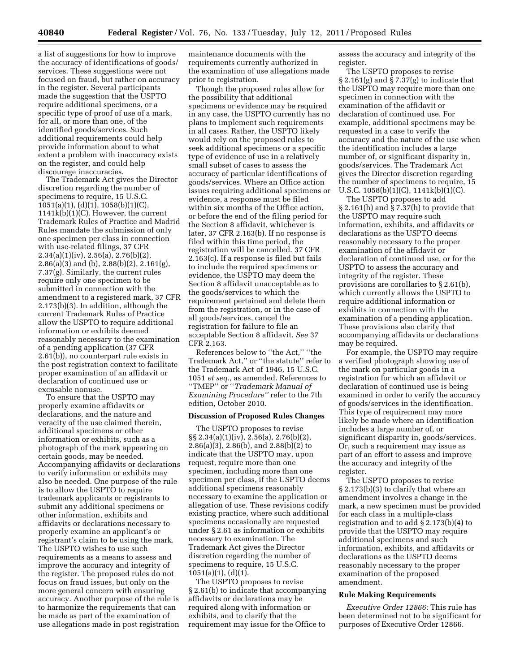a list of suggestions for how to improve the accuracy of identifications of goods/ services. These suggestions were not focused on fraud, but rather on accuracy in the register. Several participants made the suggestion that the USPTO require additional specimens, or a specific type of proof of use of a mark, for all, or more than one, of the identified goods/services. Such additional requirements could help provide information about to what extent a problem with inaccuracy exists on the register, and could help discourage inaccuracies.

The Trademark Act gives the Director discretion regarding the number of specimens to require, 15 U.S.C. 1051(a)(1), (d)(1), 1058(b)(1)(C), 1141k(b)(1)(C). However, the current Trademark Rules of Practice and Madrid Rules mandate the submission of only one specimen per class in connection with use-related filings, 37 CFR  $2.34(a)(1)(iv), 2.56(a), 2.76(b)(2),$ 2.86(a)(3) and (b), 2.88(b)(2), 2.161(g), 7.37(g). Similarly, the current rules require only one specimen to be submitted in connection with the amendment to a registered mark, 37 CFR 2.173(b)(3). In addition, although the current Trademark Rules of Practice allow the USPTO to require additional information or exhibits deemed reasonably necessary to the examination of a pending application (37 CFR 2.61(b)), no counterpart rule exists in the post registration context to facilitate proper examination of an affidavit or declaration of continued use or excusable nonuse.

To ensure that the USPTO may properly examine affidavits or declarations, and the nature and veracity of the use claimed therein, additional specimens or other information or exhibits, such as a photograph of the mark appearing on certain goods, may be needed. Accompanying affidavits or declarations to verify information or exhibits may also be needed. One purpose of the rule is to allow the USPTO to require trademark applicants or registrants to submit any additional specimens or other information, exhibits and affidavits or declarations necessary to properly examine an applicant's or registrant's claim to be using the mark. The USPTO wishes to use such requirements as a means to assess and improve the accuracy and integrity of the register. The proposed rules do not focus on fraud issues, but only on the more general concern with ensuring accuracy. Another purpose of the rule is to harmonize the requirements that can be made as part of the examination of use allegations made in post registration

maintenance documents with the requirements currently authorized in the examination of use allegations made prior to registration.

Though the proposed rules allow for the possibility that additional specimens or evidence may be required in any case, the USPTO currently has no plans to implement such requirements in all cases. Rather, the USPTO likely would rely on the proposed rules to seek additional specimens or a specific type of evidence of use in a relatively small subset of cases to assess the accuracy of particular identifications of goods/services. Where an Office action issues requiring additional specimens or evidence, a response must be filed within six months of the Office action, or before the end of the filing period for the Section 8 affidavit, whichever is later, 37 CFR 2.163(b). If no response is filed within this time period, the registration will be cancelled. 37 CFR 2.163(c). If a response is filed but fails to include the required specimens or evidence, the USPTO may deem the Section 8 affidavit unacceptable as to the goods/services to which the requirement pertained and delete them from the registration, or in the case of all goods/services, cancel the registration for failure to file an acceptable Section 8 affidavit. *See* 37 CFR 2.163.

References below to ''the Act,'' ''the Trademark Act,'' or ''the statute'' refer to the Trademark Act of 1946, 15 U.S.C. 1051 *et seq.,* as amended. References to ''TMEP'' or ''*Trademark Manual of Examining Procedure''* refer to the 7th edition, October 2010.

### **Discussion of Proposed Rules Changes**

The USPTO proposes to revise §§ 2.34(a)(1)(iv), 2.56(a), 2.76(b)(2), 2.86(a)(3), 2.86(b), and 2.88(b)(2) to indicate that the USPTO may, upon request, require more than one specimen, including more than one specimen per class, if the USPTO deems additional specimens reasonably necessary to examine the application or allegation of use. These revisions codify existing practice, where such additional specimens occasionally are requested under § 2.61 as information or exhibits necessary to examination. The Trademark Act gives the Director discretion regarding the number of specimens to require, 15 U.S.C.  $1051(a)(1), (d)(1).$ 

The USPTO proposes to revise § 2.61(b) to indicate that accompanying affidavits or declarations may be required along with information or exhibits, and to clarify that the requirement may issue for the Office to

assess the accuracy and integrity of the register.

The USPTO proposes to revise  $\S 2.161(g)$  and  $\S 7.37(g)$  to indicate that the USPTO may require more than one specimen in connection with the examination of the affidavit or declaration of continued use. For example, additional specimens may be requested in a case to verify the accuracy and the nature of the use when the identification includes a large number of, or significant disparity in, goods/services. The Trademark Act gives the Director discretion regarding the number of specimens to require, 15 U.S.C. 1058(b)(1)(C), 1141k(b)(1)(C).

The USPTO proposes to add § 2.161(h) and § 7.37(h) to provide that the USPTO may require such information, exhibits, and affidavits or declarations as the USPTO deems reasonably necessary to the proper examination of the affidavit or declaration of continued use, or for the USPTO to assess the accuracy and integrity of the register. These provisions are corollaries to § 2.61(b), which currently allows the USPTO to require additional information or exhibits in connection with the examination of a pending application. These provisions also clarify that accompanying affidavits or declarations may be required.

For example, the USPTO may require a verified photograph showing use of the mark on particular goods in a registration for which an affidavit or declaration of continued use is being examined in order to verify the accuracy of goods/services in the identification. This type of requirement may more likely be made where an identification includes a large number of, or significant disparity in, goods/services. Or, such a requirement may issue as part of an effort to assess and improve the accuracy and integrity of the register.

The USPTO proposes to revise § 2.173(b)(3) to clarify that where an amendment involves a change in the mark, a new specimen must be provided for each class in a multiple-class registration and to add § 2.173(b)(4) to provide that the USPTO may require additional specimens and such information, exhibits, and affidavits or declarations as the USPTO deems reasonably necessary to the proper examination of the proposed amendment.

#### **Rule Making Requirements**

*Executive Order 12866:* This rule has been determined not to be significant for purposes of Executive Order 12866.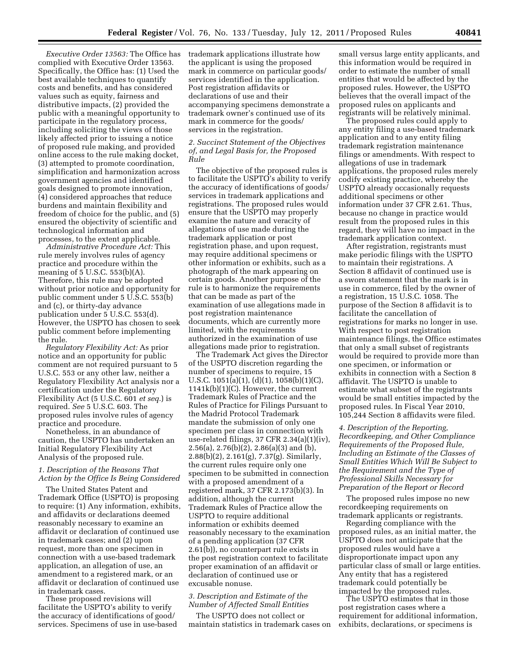*Executive Order 13563:* The Office has complied with Executive Order 13563. Specifically, the Office has: (1) Used the best available techniques to quantify costs and benefits, and has considered values such as equity, fairness and distributive impacts, (2) provided the public with a meaningful opportunity to participate in the regulatory process, including soliciting the views of those likely affected prior to issuing a notice of proposed rule making, and provided online access to the rule making docket, (3) attempted to promote coordination, simplification and harmonization across government agencies and identified goals designed to promote innovation, (4) considered approaches that reduce burdens and maintain flexibility and freedom of choice for the public, and (5) ensured the objectivity of scientific and technological information and processes, to the extent applicable.

*Administrative Procedure Act:* This rule merely involves rules of agency practice and procedure within the meaning of 5 U.S.C. 553(b)(A). Therefore, this rule may be adopted without prior notice and opportunity for public comment under 5 U.S.C. 553(b) and (c), or thirty-day advance publication under 5 U.S.C. 553(d). However, the USPTO has chosen to seek public comment before implementing the rule.

*Regulatory Flexibility Act:* As prior notice and an opportunity for public comment are not required pursuant to 5 U.S.C. 553 or any other law, neither a Regulatory Flexibility Act analysis nor a certification under the Regulatory Flexibility Act (5 U.S.C. 601 *et seq.*) is required. *See* 5 U.S.C. 603. The proposed rules involve rules of agency practice and procedure.

Nonetheless, in an abundance of caution, the USPTO has undertaken an Initial Regulatory Flexibility Act Analysis of the proposed rule.

# *1. Description of the Reasons That Action by the Office Is Being Considered*

The United States Patent and Trademark Office (USPTO) is proposing to require: (1) Any information, exhibits, and affidavits or declarations deemed reasonably necessary to examine an affidavit or declaration of continued use in trademark cases; and (2) upon request, more than one specimen in connection with a use-based trademark application, an allegation of use, an amendment to a registered mark, or an affidavit or declaration of continued use in trademark cases.

These proposed revisions will facilitate the USPTO's ability to verify the accuracy of identifications of good/ services. Specimens of use in use-based trademark applications illustrate how the applicant is using the proposed mark in commerce on particular goods/ services identified in the application. Post registration affidavits or declarations of use and their accompanying specimens demonstrate a trademark owner's continued use of its mark in commerce for the goods/ services in the registration.

### *2. Succinct Statement of the Objectives of, and Legal Basis for, the Proposed Rule*

The objective of the proposed rules is to facilitate the USPTO's ability to verify the accuracy of identifications of goods/ services in trademark applications and registrations. The proposed rules would ensure that the USPTO may properly examine the nature and veracity of allegations of use made during the trademark application or post registration phase, and upon request, may require additional specimens or other information or exhibits, such as a photograph of the mark appearing on certain goods. Another purpose of the rule is to harmonize the requirements that can be made as part of the examination of use allegations made in post registration maintenance documents, which are currently more limited, with the requirements authorized in the examination of use allegations made prior to registration.

The Trademark Act gives the Director of the USPTO discretion regarding the number of specimens to require, 15 U.S.C. 1051(a)(1), (d)(1), 1058(b)(1)(C), 1141k(b)(1)(C). However, the current Trademark Rules of Practice and the Rules of Practice for Filings Pursuant to the Madrid Protocol Trademark mandate the submission of only one specimen per class in connection with use-related filings, 37 CFR 2.34(a)(1)(iv), 2.56(a), 2.76(b)(2), 2.86(a)(3) and (b), 2.88(b)(2), 2.161(g), 7.37(g). Similarly, the current rules require only one specimen to be submitted in connection with a proposed amendment of a registered mark, 37 CFR 2.173(b)(3). In addition, although the current Trademark Rules of Practice allow the USPTO to require additional information or exhibits deemed reasonably necessary to the examination of a pending application (37 CFR 2.61(b)), no counterpart rule exists in the post registration context to facilitate proper examination of an affidavit or declaration of continued use or excusable nonuse.

# *3. Description and Estimate of the Number of Affected Small Entities*

The USPTO does not collect or maintain statistics in trademark cases on small versus large entity applicants, and this information would be required in order to estimate the number of small entities that would be affected by the proposed rules. However, the USPTO believes that the overall impact of the proposed rules on applicants and registrants will be relatively minimal.

The proposed rules could apply to any entity filing a use-based trademark application and to any entity filing trademark registration maintenance filings or amendments. With respect to allegations of use in trademark applications, the proposed rules merely codify existing practice, whereby the USPTO already occasionally requests additional specimens or other information under 37 CFR 2.61. Thus, because no change in practice would result from the proposed rules in this regard, they will have no impact in the trademark application context.

After registration, registrants must make periodic filings with the USPTO to maintain their registrations. A Section 8 affidavit of continued use is a sworn statement that the mark is in use in commerce, filed by the owner of a registration, 15 U.S.C. 1058. The purpose of the Section 8 affidavit is to facilitate the cancellation of registrations for marks no longer in use. With respect to post registration maintenance filings, the Office estimates that only a small subset of registrants would be required to provide more than one specimen, or information or exhibits in connection with a Section 8 affidavit. The USPTO is unable to estimate what subset of the registrants would be small entities impacted by the proposed rules. In Fiscal Year 2010, 105,244 Section 8 affidavits were filed.

*4. Description of the Reporting, Recordkeeping, and Other Compliance Requirements of the Proposed Rule, Including an Estimate of the Classes of Small Entities Which Will Be Subject to the Requirement and the Type of Professional Skills Necessary for Preparation of the Report or Record* 

The proposed rules impose no new recordkeeping requirements on trademark applicants or registrants.

Regarding compliance with the proposed rules, as an initial matter, the USPTO does not anticipate that the proposed rules would have a disproportionate impact upon any particular class of small or large entities. Any entity that has a registered trademark could potentially be impacted by the proposed rules.

The USPTO estimates that in those post registration cases where a requirement for additional information, exhibits, declarations, or specimens is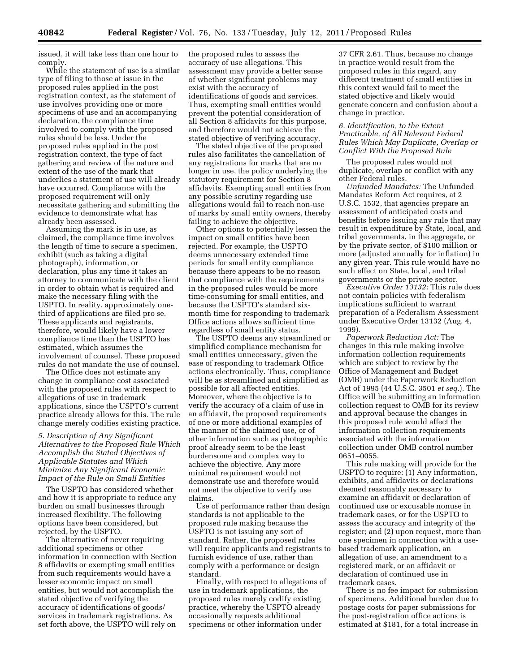issued, it will take less than one hour to comply.

While the statement of use is a similar type of filing to those at issue in the proposed rules applied in the post registration context, as the statement of use involves providing one or more specimens of use and an accompanying declaration, the compliance time involved to comply with the proposed rules should be less. Under the proposed rules applied in the post registration context, the type of fact gathering and review of the nature and extent of the use of the mark that underlies a statement of use will already have occurred. Compliance with the proposed requirement will only necessitate gathering and submitting the evidence to demonstrate what has already been assessed.

Assuming the mark is in use, as claimed, the compliance time involves the length of time to secure a specimen, exhibit (such as taking a digital photograph), information, or declaration, plus any time it takes an attorney to communicate with the client in order to obtain what is required and make the necessary filing with the USPTO. In reality, approximately onethird of applications are filed pro se. These applicants and registrants, therefore, would likely have a lower compliance time than the USPTO has estimated, which assumes the involvement of counsel. These proposed rules do not mandate the use of counsel.

The Office does not estimate any change in compliance cost associated with the proposed rules with respect to allegations of use in trademark applications, since the USPTO's current practice already allows for this. The rule change merely codifies existing practice.

*5. Description of Any Significant Alternatives to the Proposed Rule Which Accomplish the Stated Objectives of Applicable Statutes and Which Minimize Any Significant Economic Impact of the Rule on Small Entities* 

The USPTO has considered whether and how it is appropriate to reduce any burden on small businesses through increased flexibility. The following options have been considered, but rejected, by the USPTO.

The alternative of never requiring additional specimens or other information in connection with Section 8 affidavits or exempting small entities from such requirements would have a lesser economic impact on small entities, but would not accomplish the stated objective of verifying the accuracy of identifications of goods/ services in trademark registrations. As set forth above, the USPTO will rely on

the proposed rules to assess the accuracy of use allegations. This assessment may provide a better sense of whether significant problems may exist with the accuracy of identifications of goods and services. Thus, exempting small entities would prevent the potential consideration of all Section 8 affidavits for this purpose, and therefore would not achieve the stated objective of verifying accuracy.

The stated objective of the proposed rules also facilitates the cancellation of any registrations for marks that are no longer in use, the policy underlying the statutory requirement for Section 8 affidavits. Exempting small entities from any possible scrutiny regarding use allegations would fail to reach non-use of marks by small entity owners, thereby failing to achieve the objective.

Other options to potentially lessen the impact on small entities have been rejected. For example, the USPTO deems unnecessary extended time periods for small entity compliance because there appears to be no reason that compliance with the requirements in the proposed rules would be more time-consuming for small entities, and because the USPTO's standard sixmonth time for responding to trademark Office actions allows sufficient time regardless of small entity status.

The USPTO deems any streamlined or simplified compliance mechanism for small entities unnecessary, given the ease of responding to trademark Office actions electronically. Thus, compliance will be as streamlined and simplified as possible for all affected entities. Moreover, where the objective is to verify the accuracy of a claim of use in an affidavit, the proposed requirements of one or more additional examples of the manner of the claimed use, or of other information such as photographic proof already seem to be the least burdensome and complex way to achieve the objective. Any more minimal requirement would not demonstrate use and therefore would not meet the objective to verify use claims.

Use of performance rather than design standards is not applicable to the proposed rule making because the USPTO is not issuing any sort of standard. Rather, the proposed rules will require applicants and registrants to furnish evidence of use, rather than comply with a performance or design standard.

Finally, with respect to allegations of use in trademark applications, the proposed rules merely codify existing practice, whereby the USPTO already occasionally requests additional specimens or other information under

37 CFR 2.61. Thus, because no change in practice would result from the proposed rules in this regard, any different treatment of small entities in this context would fail to meet the stated objective and likely would generate concern and confusion about a change in practice.

# *6. Identification, to the Extent Practicable, of All Relevant Federal Rules Which May Duplicate, Overlap or Conflict With the Proposed Rule*

The proposed rules would not duplicate, overlap or conflict with any other Federal rules.

*Unfunded Mandates:* The Unfunded Mandates Reform Act requires, at 2 U.S.C. 1532, that agencies prepare an assessment of anticipated costs and benefits before issuing any rule that may result in expenditure by State, local, and tribal governments, in the aggregate, or by the private sector, of \$100 million or more (adjusted annually for inflation) in any given year. This rule would have no such effect on State, local, and tribal governments or the private sector.

*Executive Order 13132:* This rule does not contain policies with federalism implications sufficient to warrant preparation of a Federalism Assessment under Executive Order 13132 (Aug. 4, 1999).

*Paperwork Reduction Act:* The changes in this rule making involve information collection requirements which are subject to review by the Office of Management and Budget (OMB) under the Paperwork Reduction Act of 1995 (44 U.S.C. 3501 *et seq.*). The Office will be submitting an information collection request to OMB for its review and approval because the changes in this proposed rule would affect the information collection requirements associated with the information collection under OMB control number 0651–0055.

This rule making will provide for the USPTO to require: (1) Any information, exhibits, and affidavits or declarations deemed reasonably necessary to examine an affidavit or declaration of continued use or excusable nonuse in trademark cases, or for the USPTO to assess the accuracy and integrity of the register; and (2) upon request, more than one specimen in connection with a usebased trademark application, an allegation of use, an amendment to a registered mark, or an affidavit or declaration of continued use in trademark cases.

There is no fee impact for submission of specimens. Additional burden due to postage costs for paper submissions for the post-registration office actions is estimated at \$181, for a total increase in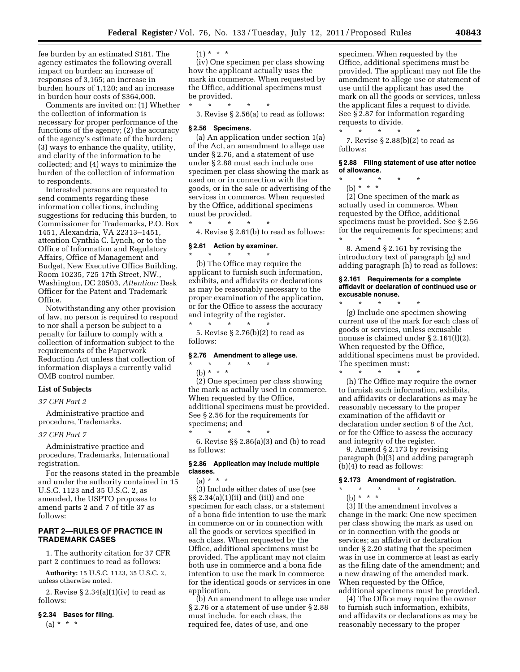fee burden by an estimated \$181. The agency estimates the following overall impact on burden: an increase of responses of 3,165; an increase in burden hours of 1,120; and an increase in burden hour costs of \$364,000.

Comments are invited on: (1) Whether the collection of information is necessary for proper performance of the functions of the agency; (2) the accuracy of the agency's estimate of the burden; (3) ways to enhance the quality, utility, and clarity of the information to be collected; and (4) ways to minimize the burden of the collection of information to respondents.

Interested persons are requested to send comments regarding these information collections, including suggestions for reducing this burden, to Commissioner for Trademarks, P.O. Box 1451, Alexandria, VA 22313–1451, attention Cynthia C. Lynch, or to the Office of Information and Regulatory Affairs, Office of Management and Budget, New Executive Office Building, Room 10235, 725 17th Street, NW., Washington, DC 20503, *Attention:* Desk Officer for the Patent and Trademark Office.

Notwithstanding any other provision of law, no person is required to respond to nor shall a person be subject to a penalty for failure to comply with a collection of information subject to the requirements of the Paperwork Reduction Act unless that collection of information displays a currently valid OMB control number.

### **List of Subjects**

# *37 CFR Part 2*

Administrative practice and procedure, Trademarks.

### *37 CFR Part 7*

Administrative practice and procedure, Trademarks, International registration.

For the reasons stated in the preamble and under the authority contained in 15 U.S.C. 1123 and 35 U.S.C. 2, as amended, the USPTO proposes to amend parts 2 and 7 of title 37 as follows:

# **PART 2—RULES OF PRACTICE IN TRADEMARK CASES**

1. The authority citation for 37 CFR part 2 continues to read as follows:

**Authority:** 15 U.S.C. 1123, 35 U.S.C. 2, unless otherwise noted.

2. Revise  $\S 2.34(a)(1)(iv)$  to read as follows:

#### **§ 2.34 Bases for filing.**

 $(a) * * * *$ 

 $(1) * * * *$ 

(iv) One specimen per class showing how the applicant actually uses the mark in commerce. When requested by the Office, additional specimens must be provided.

\* \* \* \* \* 3. Revise § 2.56(a) to read as follows:

### **§ 2.56 Specimens.**

(a) An application under section 1(a) of the Act, an amendment to allege use under § 2.76, and a statement of use under § 2.88 must each include one specimen per class showing the mark as used on or in connection with the goods, or in the sale or advertising of the services in commerce. When requested by the Office, additional specimens must be provided.

4. Revise § 2.61(b) to read as follows:

### **§ 2.61 Action by examiner.**  \* \* \* \* \*

\* \* \* \* \*

(b) The Office may require the applicant to furnish such information, exhibits, and affidavits or declarations as may be reasonably necessary to the proper examination of the application, or for the Office to assess the accuracy and integrity of the register. \* \* \* \* \*

5. Revise § 2.76(b)(2) to read as follows:

#### **§ 2.76 Amendment to allege use.**

- \* \* \* \* \* (b) \* \* \*
	-

(2) One specimen per class showing the mark as actually used in commerce. When requested by the Office, additional specimens must be provided. See § 2.56 for the requirements for specimens; and \* \* \* \* \*

6. Revise §§ 2.86(a)(3) and (b) to read as follows:

### **§ 2.86 Application may include multiple classes.**

 $(a) * * * *$ 

(3) Include either dates of use (see §§ 2.34(a)(1)(ii) and (iii)) and one specimen for each class, or a statement of a bona fide intention to use the mark in commerce on or in connection with all the goods or services specified in each class. When requested by the Office, additional specimens must be provided. The applicant may not claim both use in commerce and a bona fide intention to use the mark in commerce for the identical goods or services in one application.

(b) An amendment to allege use under § 2.76 or a statement of use under § 2.88 must include, for each class, the required fee, dates of use, and one

specimen. When requested by the Office, additional specimens must be provided. The applicant may not file the amendment to allege use or statement of use until the applicant has used the mark on all the goods or services, unless the applicant files a request to divide. See § 2.87 for information regarding requests to divide.

 $\star$   $\star$   $\star$ 7. Revise § 2.88(b)(2) to read as follows:

#### **§ 2.88 Filing statement of use after notice of allowance.**

- \* \* \* \* \*
- (b) \* \* \*

(2) One specimen of the mark as actually used in commerce. When requested by the Office, additional specimens must be provided. See § 2.56 for the requirements for specimens; and \* \* \* \* \*

8. Amend § 2.161 by revising the introductory text of paragraph (g) and adding paragraph (h) to read as follows:

### **§ 2.161 Requirements for a complete affidavit or declaration of continued use or excusable nonuse.**

\* \* \* \* \*

(g) Include one specimen showing current use of the mark for each class of goods or services, unless excusable nonuse is claimed under § 2.161(f)(2). When requested by the Office, additional specimens must be provided. The specimen must:

\* \* \* \* \* (h) The Office may require the owner to furnish such information, exhibits, and affidavits or declarations as may be reasonably necessary to the proper examination of the affidavit or declaration under section 8 of the Act, or for the Office to assess the accuracy and integrity of the register.

9. Amend § 2.173 by revising paragraph (b)(3) and adding paragraph (b)(4) to read as follows:

# **§ 2.173 Amendment of registration.**

- \* \* \* \* \*
	- (b) \* \* \*

(3) If the amendment involves a change in the mark: One new specimen per class showing the mark as used on or in connection with the goods or services; an affidavit or declaration under § 2.20 stating that the specimen was in use in commerce at least as early as the filing date of the amendment; and a new drawing of the amended mark. When requested by the Office, additional specimens must be provided.

(4) The Office may require the owner to furnish such information, exhibits, and affidavits or declarations as may be reasonably necessary to the proper